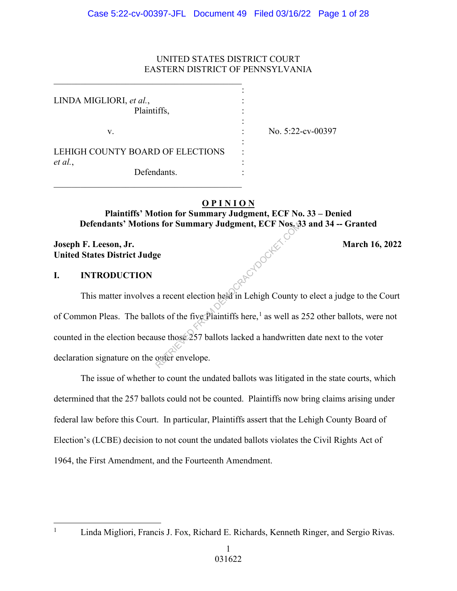# UNITED STATES DISTRICT COURT EASTERN DISTRICT OF PENNSYLVANIA

| LINDA MIGLIORI, et al.,<br>Plaintiffs, |                   |
|----------------------------------------|-------------------|
|                                        |                   |
|                                        |                   |
| v.                                     | No. 5:22-cv-00397 |
|                                        |                   |
| LEHIGH COUNTY BOARD OF ELECTIONS       |                   |
| et al.,                                |                   |
| Defendants.                            |                   |
|                                        |                   |

# **O P I N I O N**

# **Plaintiffs' Motion for Summary Judgment, ECF No. 33 – Denied Defendants' Motions for Summary Judgment, ECF Nos. 33 and 34 -- Granted**

Reported Pooler

# **Joseph F. Leeson, Jr.** March 16, 2022 **United States District Judge**

# **I. INTRODUCTION**

This matter involves a recent election held in Lehigh County to elect a judge to the Court of Common Pleas. The ballots of the five Plaintiffs here,<sup>1</sup> as well as 252 other ballots, were not counted in the election because those 257 ballots lacked a handwritten date next to the voter declaration signature on the outer envelope.

 The issue of whether to count the undated ballots was litigated in the state courts, which determined that the 257 ballots could not be counted. Plaintiffs now bring claims arising under federal law before this Court. In particular, Plaintiffs assert that the Lehigh County Board of Election's (LCBE) decision to not count the undated ballots violates the Civil Rights Act of 1964, the First Amendment, and the Fourteenth Amendment.

1

Linda Migliori, Francis J. Fox, Richard E. Richards, Kenneth Ringer, and Sergio Rivas.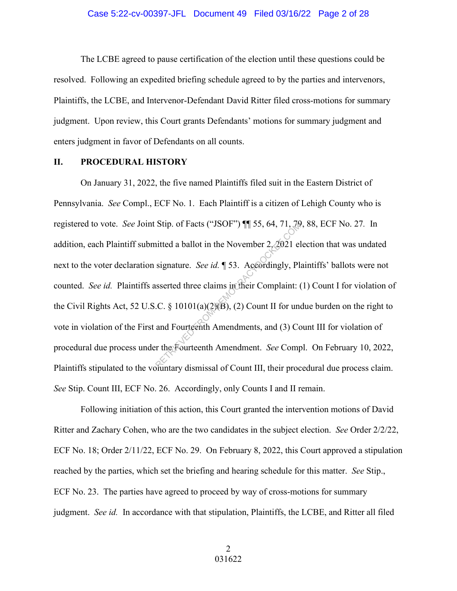The LCBE agreed to pause certification of the election until these questions could be resolved. Following an expedited briefing schedule agreed to by the parties and intervenors, Plaintiffs, the LCBE, and Intervenor-Defendant David Ritter filed cross-motions for summary judgment. Upon review, this Court grants Defendants' motions for summary judgment and enters judgment in favor of Defendants on all counts.

# **II. PROCEDURAL HISTORY**

On January 31, 2022, the five named Plaintiffs filed suit in the Eastern District of Pennsylvania. *See* Compl., ECF No. 1. Each Plaintiff is a citizen of Lehigh County who is registered to vote. *See* Joint Stip. of Facts ("JSOF") ¶¶ 55, 64, 71, 79, 88, ECF No. 27*.* In addition, each Plaintiff submitted a ballot in the November 2, 2021 election that was undated next to the voter declaration signature. *See id.* ¶ 53. Accordingly, Plaintiffs' ballots were not counted. *See id.* Plaintiffs asserted three claims in their Complaint: (1) Count I for violation of the Civil Rights Act, 52 U.S.C. § 10101(a)(2)(B), (2) Count II for undue burden on the right to vote in violation of the First and Fourteenth Amendments, and (3) Count III for violation of procedural due process under the Fourteenth Amendment. *See* Compl. On February 10, 2022, Plaintiffs stipulated to the voluntary dismissal of Count III, their procedural due process claim. *See* Stip. Count III, ECF No. 26. Accordingly, only Counts I and II remain. Stip. of Facts ("JSOF")  $||$  55, 64, 71, 29<br>
itted a ballot in the November 2, 2021 el<br>
signature. *See id.*  $\parallel$  53. Accordingly, Pl<br>
sserted three claims in their Complaint: (<br>
.C. § 10101(a)(2)(B), (2) Count II for une<br>

Following initiation of this action, this Court granted the intervention motions of David Ritter and Zachary Cohen, who are the two candidates in the subject election. *See* Order 2/2/22, ECF No. 18; Order 2/11/22, ECF No. 29. On February 8, 2022, this Court approved a stipulation reached by the parties, which set the briefing and hearing schedule for this matter. *See* Stip., ECF No. 23. The parties have agreed to proceed by way of cross-motions for summary judgment. *See id.* In accordance with that stipulation, Plaintiffs, the LCBE, and Ritter all filed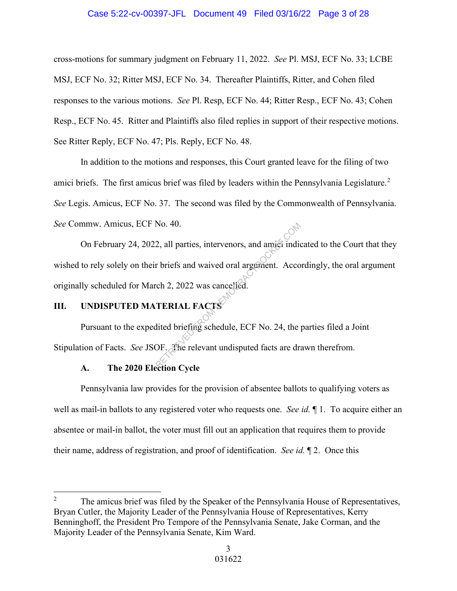# Case 5:22-cv-00397-JFL Document 49 Filed 03/16/22 Page 3 of 28

cross-motions for summary judgment on February 11, 2022. *See* Pl. MSJ, ECF No. 33; LCBE MSJ, ECF No. 32; Ritter MSJ, ECF No. 34. Thereafter Plaintiffs, Ritter, and Cohen filed responses to the various motions. *See* Pl. Resp, ECF No. 44; Ritter Resp., ECF No. 43; Cohen Resp., ECF No. 45. Ritter and Plaintiffs also filed replies in support of their respective motions. See Ritter Reply, ECF No. 47; Pls. Reply, ECF No. 48.

 In addition to the motions and responses, this Court granted leave for the filing of two amici briefs. The first amicus brief was filed by leaders within the Pennsylvania Legislature.<sup>2</sup> *See* Legis. Amicus, ECF No. 37. The second was filed by the Commonwealth of Pennsylvania. *See* Commw. Amicus, ECF No. 40.

 On February 24, 2022, all parties, intervenors, and amici indicated to the Court that they wished to rely solely on their briefs and waived oral argument. Accordingly, the oral argument originally scheduled for March 2, 2022 was cancelled. Retail and the set of the set of the set of the set of the set of the set of the set of the set of the set of the set of the set of the set of the set of the set of the set of the set of the set of the set of the set of th

# **III. UNDISPUTED MATERIAL FACTS**

Pursuant to the expedited briefing schedule, ECF No. 24, the parties filed a Joint Stipulation of Facts. *See* JSOF. The relevant undisputed facts are drawn therefrom.

# **A. The 2020 Election Cycle**

 Pennsylvania law provides for the provision of absentee ballots to qualifying voters as well as mail-in ballots to any registered voter who requests one. *See id.* ¶ 1. To acquire either an absentee or mail-in ballot, the voter must fill out an application that requires them to provide their name, address of registration, and proof of identification. *See id.* ¶ 2. Once this

<sup>2</sup> The amicus brief was filed by the Speaker of the Pennsylvania House of Representatives, Bryan Cutler, the Majority Leader of the Pennsylvania House of Representatives, Kerry Benninghoff, the President Pro Tempore of the Pennsylvania Senate, Jake Corman, and the Majority Leader of the Pennsylvania Senate, Kim Ward.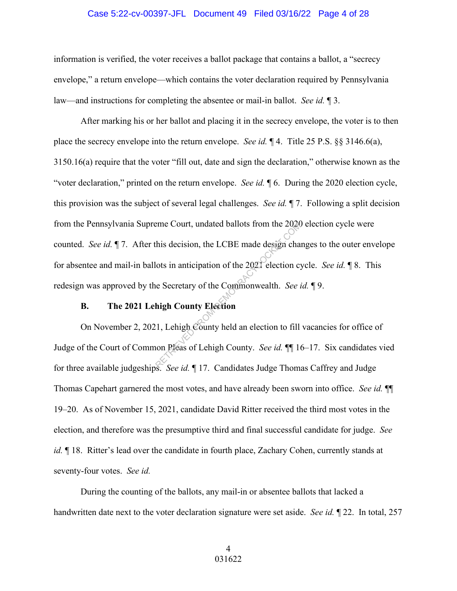# Case 5:22-cv-00397-JFL Document 49 Filed 03/16/22 Page 4 of 28

information is verified, the voter receives a ballot package that contains a ballot, a "secrecy envelope," a return envelope—which contains the voter declaration required by Pennsylvania law—and instructions for completing the absentee or mail-in ballot. *See id.* ¶ 3.

After marking his or her ballot and placing it in the secrecy envelope, the voter is to then place the secrecy envelope into the return envelope. *See id.* ¶ 4. Title 25 P.S. §§ 3146.6(a), 3150.16(a) require that the voter "fill out, date and sign the declaration," otherwise known as the "voter declaration," printed on the return envelope. *See id.* ¶ 6. During the 2020 election cycle, this provision was the subject of several legal challenges. *See id.* ¶ 7. Following a split decision from the Pennsylvania Supreme Court, undated ballots from the 2020 election cycle were counted. *See id.* ¶ 7. After this decision, the LCBE made design changes to the outer envelope for absentee and mail-in ballots in anticipation of the 2021 election cycle. *See id.* ¶ 8. This redesign was approved by the Secretary of the Commonwealth. *See id.* ¶ 9. Example 2021 this decision, the LCBE made design channels are this decision, the LCBE made design channels of the 2021 election control and Secretary of the Commonwealth. See a high County Election (1, Lehigh County held

# **B. The 2021 Lehigh County Election**

On November 2, 2021, Lehigh County held an election to fill vacancies for office of Judge of the Court of Common Pleas of Lehigh County. *See id.* ¶¶ 16–17. Six candidates vied for three available judgeships. *See id.* ¶ 17. Candidates Judge Thomas Caffrey and Judge Thomas Capehart garnered the most votes, and have already been sworn into office. *See id.* ¶¶ 19–20. As of November 15, 2021, candidate David Ritter received the third most votes in the election, and therefore was the presumptive third and final successful candidate for judge. *See id.*  $\parallel$  18. Ritter's lead over the candidate in fourth place, Zachary Cohen, currently stands at seventy-four votes. *See id.*

 During the counting of the ballots, any mail-in or absentee ballots that lacked a handwritten date next to the voter declaration signature were set aside. *See id.* ¶ 22. In total, 257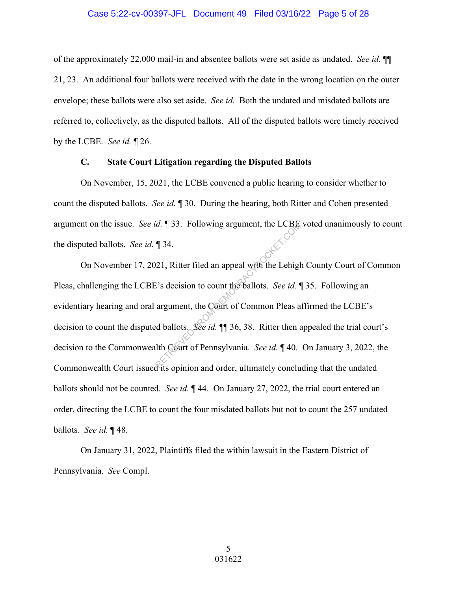#### Case 5:22-cv-00397-JFL Document 49 Filed 03/16/22 Page 5 of 28

of the approximately 22,000 mail-in and absentee ballots were set aside as undated. *See id.* ¶¶ 21, 23. An additional four ballots were received with the date in the wrong location on the outer envelope; these ballots were also set aside. *See id.* Both the undated and misdated ballots are referred to, collectively, as the disputed ballots. All of the disputed ballots were timely received by the LCBE. *See id.* ¶ 26.

## **C. State Court Litigation regarding the Disputed Ballots**

 On November, 15, 2021, the LCBE convened a public hearing to consider whether to count the disputed ballots. *See id.* ¶ 30. During the hearing, both Ritter and Cohen presented argument on the issue. *See id.* ¶ 33. Following argument, the LCBE voted unanimously to count the disputed ballots. *See id.* ¶ 34.

 On November 17, 2021, Ritter filed an appeal with the Lehigh County Court of Common Pleas, challenging the LCBE's decision to count the ballots. *See id.* ¶ 35. Following an evidentiary hearing and oral argument, the Court of Common Pleas affirmed the LCBE's decision to count the disputed ballots. *See id.* ¶¶ 36, 38. Ritter then appealed the trial court's decision to the Commonwealth Court of Pennsylvania. *See id.* ¶ 40. On January 3, 2022, the Commonwealth Court issued its opinion and order, ultimately concluding that the undated ballots should not be counted. *See id.* ¶ 44. On January 27, 2022, the trial court entered an order, directing the LCBE to count the four misdated ballots but not to count the 257 undated ballots. *See id.* ¶ 48. *d.*  $\parallel$  33. Following argument, the LCBE<br>  $\parallel$  34.<br>
21, Ritter filed an appeal with the Lehights's decision to count the ballots. *See id.*<br>
argument, the Court of Common Pleas and ballots. *See id.*  $\parallel$  36, 38. Ritter

 On January 31, 2022, Plaintiffs filed the within lawsuit in the Eastern District of Pennsylvania. *See* Compl.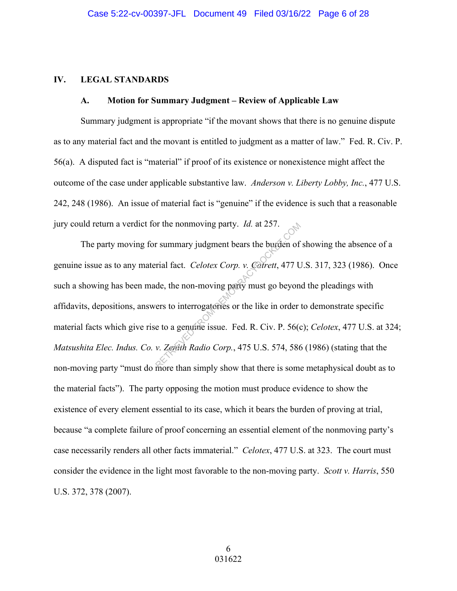#### **IV. LEGAL STANDARDS**

## **A. Motion for Summary Judgment – Review of Applicable Law**

Summary judgment is appropriate "if the movant shows that there is no genuine dispute as to any material fact and the movant is entitled to judgment as a matter of law." Fed. R. Civ. P. 56(a). A disputed fact is "material" if proof of its existence or nonexistence might affect the outcome of the case under applicable substantive law. *Anderson v. Liberty Lobby, Inc.*, 477 U.S. 242, 248 (1986). An issue of material fact is "genuine" if the evidence is such that a reasonable jury could return a verdict for the nonmoving party. *Id.* at 257.

The party moving for summary judgment bears the burden of showing the absence of a genuine issue as to any material fact. *Celotex Corp. v. Catrett*, 477 U.S. 317, 323 (1986). Once such a showing has been made, the non-moving party must go beyond the pleadings with affidavits, depositions, answers to interrogatories or the like in order to demonstrate specific material facts which give rise to a genuine issue. Fed. R. Civ. P. 56(c); *Celotex*, 477 U.S. at 324; *Matsushita Elec. Indus. Co. v. Zenith Radio Corp.*, 475 U.S. 574, 586 (1986) (stating that the non-moving party "must do more than simply show that there is some metaphysical doubt as to the material facts"). The party opposing the motion must produce evidence to show the existence of every element essential to its case, which it bears the burden of proving at trial, because "a complete failure of proof concerning an essential element of the nonmoving party's case necessarily renders all other facts immaterial." *Celotex*, 477 U.S. at 323. The court must consider the evidence in the light most favorable to the non-moving party. *Scott v. Harris*, 550 U.S. 372, 378 (2007). r summary judgment bears the burden of<br>rial fact. *Celotex Corp.* v. *Carrett*, 477 U<br>de, the non-moving party must go beyon<br>rers to interrogatories or the like in order<br>e to a genuine issue. Fed. R. Civ. P. 56(contract or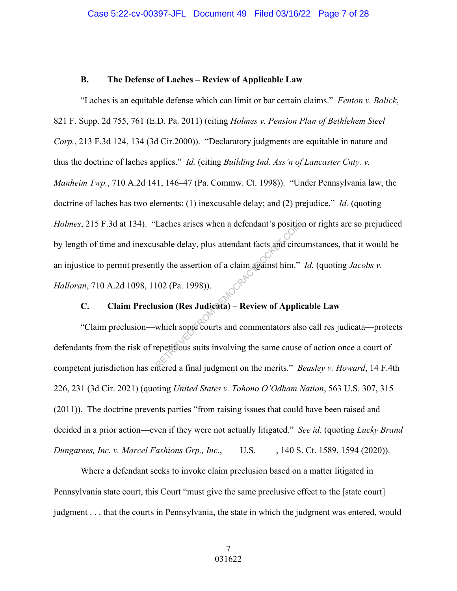## **B. The Defense of Laches – Review of Applicable Law**

"Laches is an equitable defense which can limit or bar certain claims." *Fenton v. Balick*, 821 F. Supp. 2d 755, 761 (E.D. Pa. 2011) (citing *Holmes v. Pension Plan of Bethlehem Steel Corp.*, 213 F.3d 124, 134 (3d Cir.2000)). "Declaratory judgments are equitable in nature and thus the doctrine of laches applies." *Id.* (citing *Building Ind. Ass'n of Lancaster Cnty. v. Manheim Twp.*, 710 A.2d 141, 146–47 (Pa. Commw. Ct. 1998)). "Under Pennsylvania law, the doctrine of laches has two elements: (1) inexcusable delay; and (2) prejudice." *Id.* (quoting *Holmes*, 215 F.3d at 134). "Laches arises when a defendant's position or rights are so prejudiced by length of time and inexcusable delay, plus attendant facts and circumstances, that it would be an injustice to permit presently the assertion of a claim against him." *Id.* (quoting *Jacobs v. Halloran*, 710 A.2d 1098, 1102 (Pa. 1998)). Laches arises when a detendant's position<br>
sable delay, plus attendant facts and circ<br>
tly the assertion of a claim against him."<br>
102 (Pa. 1998)).<br> **SPECIES:**<br> **RETRIEVED FROM DEMOCRACY SECTIONS**<br>
which some courts and co

# **C. Claim Preclusion (Res Judicata) – Review of Applicable Law**

"Claim preclusion—which some courts and commentators also call res judicata—protects defendants from the risk of repetitious suits involving the same cause of action once a court of competent jurisdiction has entered a final judgment on the merits." *Beasley v. Howard*, 14 F.4th 226, 231 (3d Cir. 2021) (quoting *United States v. Tohono O'Odham Nation*, 563 U.S. 307, 315 (2011)). The doctrine prevents parties "from raising issues that could have been raised and decided in a prior action—even if they were not actually litigated." *See id.* (quoting *Lucky Brand Dungarees, Inc. v. Marcel Fashions Grp., Inc.*, ––– U.S. ––––, 140 S. Ct. 1589, 1594 (2020)).

Where a defendant seeks to invoke claim preclusion based on a matter litigated in Pennsylvania state court, this Court "must give the same preclusive effect to the [state court] judgment . . . that the courts in Pennsylvania, the state in which the judgment was entered, would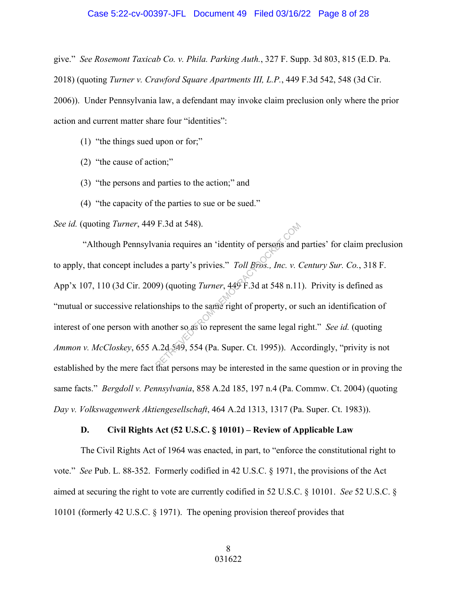#### Case 5:22-cv-00397-JFL Document 49 Filed 03/16/22 Page 8 of 28

give." *See Rosemont Taxicab Co. v. Phila. Parking Auth.*, 327 F. Supp. 3d 803, 815 (E.D. Pa. 2018) (quoting *Turner v. Crawford Square Apartments III, L.P.*, 449 F.3d 542, 548 (3d Cir. 2006)). Under Pennsylvania law, a defendant may invoke claim preclusion only where the prior

action and current matter share four "identities":

- (1) "the things sued upon or for;"
- (2) "the cause of action;"
- (3) "the persons and parties to the action;" and
- (4) "the capacity of the parties to sue or be sued."

*See id.* (quoting *Turner*, 449 F.3d at 548).

 "Although Pennsylvania requires an 'identity of persons and parties' for claim preclusion to apply, that concept includes a party's privies." *Toll Bros., Inc. v. Century Sur. Co.*, 318 F. App'x 107, 110 (3d Cir. 2009) (quoting *Turner*, 449 F.3d at 548 n.11). Privity is defined as "mutual or successive relationships to the same right of property, or such an identification of interest of one person with another so as to represent the same legal right." *See id.* (quoting *Ammon v. McCloskey*, 655 A.2d 549, 554 (Pa. Super. Ct. 1995)). Accordingly, "privity is not established by the mere fact that persons may be interested in the same question or in proving the same facts." *Bergdoll v. Pennsylvania*, 858 A.2d 185, 197 n.4 (Pa. Commw. Ct. 2004) (quoting *Day v. Volkswagenwerk Aktiengesellschaft*, 464 A.2d 1313, 1317 (Pa. Super. Ct. 1983)). F.3d at 548).<br>
ania requires an 'identity of persons and<br>
es a party's privies." *Toll Bros., Inc. v.* (<br>
9) (quoting *Turner*, 449 F.3d at 548 n.11<br>
onships to the same right of property, or s<br>
nother so as to represent

# **D. Civil Rights Act (52 U.S.C. § 10101) – Review of Applicable Law**

The Civil Rights Act of 1964 was enacted, in part, to "enforce the constitutional right to vote." *See* Pub. L. 88-352. Formerly codified in 42 U.S.C. § 1971, the provisions of the Act aimed at securing the right to vote are currently codified in 52 U.S.C. § 10101. *See* 52 U.S.C. § 10101 (formerly 42 U.S.C. § 1971). The opening provision thereof provides that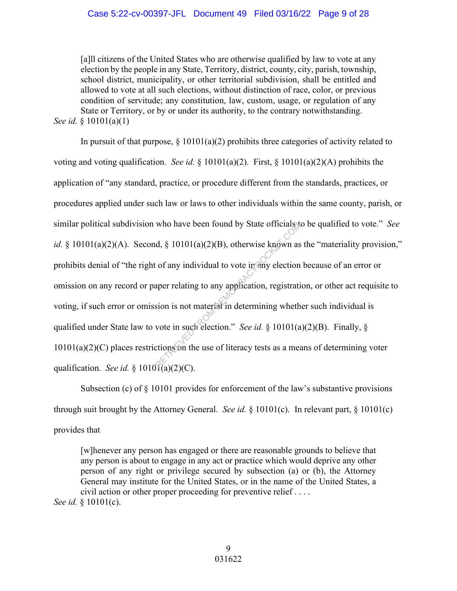## Case 5:22-cv-00397-JFL Document 49 Filed 03/16/22 Page 9 of 28

[a]ll citizens of the United States who are otherwise qualified by law to vote at any election by the people in any State, Territory, district, county, city, parish, township, school district, municipality, or other territorial subdivision, shall be entitled and allowed to vote at all such elections, without distinction of race, color, or previous condition of servitude; any constitution, law, custom, usage, or regulation of any State or Territory, or by or under its authority, to the contrary notwithstanding. *See id.* § 10101(a)(1)

In pursuit of that purpose,  $\S 10101(a)(2)$  prohibits three categories of activity related to voting and voting qualification. *See id.* § 10101(a)(2). First, § 10101(a)(2)(A) prohibits the application of "any standard, practice, or procedure different from the standards, practices, or procedures applied under such law or laws to other individuals within the same county, parish, or similar political subdivision who have been found by State officials to be qualified to vote." *See id.* § 10101(a)(2)(A). Second, § 10101(a)(2)(B), otherwise known as the "materiality provision," prohibits denial of "the right of any individual to vote in any election because of an error or omission on any record or paper relating to any application, registration, or other act requisite to voting, if such error or omission is not material in determining whether such individual is qualified under State law to vote in such election." *See id.* § 10101(a)(2)(B). Finally, § 10101(a)(2)(C) places restrictions on the use of literacy tests as a means of determining voter qualification. *See id.* §  $10101(a)(2)(C)$ . who have been found by State officials to<br>d, § 10101(a)(2)(B), otherwise known as<br>c of any individual to vote in any election<br>aper relating to any application, registration<br>sion is not material in determining wheth<br>vote i

Subsection (c) of § 10101 provides for enforcement of the law's substantive provisions through suit brought by the Attorney General. *See id.* § 10101(c). In relevant part, § 10101(c) provides that

[w]henever any person has engaged or there are reasonable grounds to believe that any person is about to engage in any act or practice which would deprive any other person of any right or privilege secured by subsection (a) or (b), the Attorney General may institute for the United States, or in the name of the United States, a civil action or other proper proceeding for preventive relief . . . . *See id.* § 10101(c).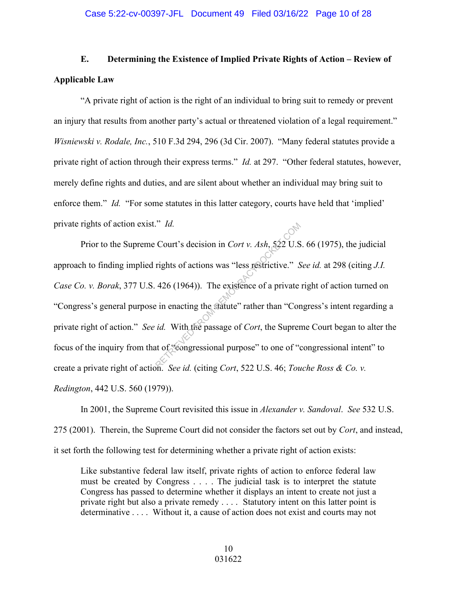# **E. Determining the Existence of Implied Private Rights of Action – Review of Applicable Law**

"A private right of action is the right of an individual to bring suit to remedy or prevent an injury that results from another party's actual or threatened violation of a legal requirement." *Wisniewski v. Rodale, Inc.*, 510 F.3d 294, 296 (3d Cir. 2007). "Many federal statutes provide a private right of action through their express terms." *Id.* at 297. "Other federal statutes, however, merely define rights and duties, and are silent about whether an individual may bring suit to enforce them." *Id.* "For some statutes in this latter category, courts have held that 'implied' private rights of action exist." *Id.*

Prior to the Supreme Court's decision in *Cort v. Ash*, 522 U.S. 66 (1975), the judicial approach to finding implied rights of actions was "less restrictive." *See id.* at 298 (citing *J.I. Case Co. v. Borak*, 377 U.S. 426 (1964)). The existence of a private right of action turned on "Congress's general purpose in enacting the statute" rather than "Congress's intent regarding a private right of action." *See id.* With the passage of *Cort*, the Supreme Court began to alter the focus of the inquiry from that of "congressional purpose" to one of "congressional intent" to create a private right of action. *See id.* (citing *Cort*, 522 U.S. 46; *Touche Ross & Co. v. Redington*, 442 U.S. 560 (1979)). Court's decision in *Cort v. Ash*, 522 U.S<br>rights of actions was "less restrictive." S<br>426 (1964)). The existence of a private<br>in enacting the statute" rather than "Cor<br>id. With the passage of *Cort*, the Suprer<br>at of "Se

In 2001, the Supreme Court revisited this issue in *Alexander v. Sandoval*. *See* 532 U.S. 275 (2001). Therein, the Supreme Court did not consider the factors set out by *Cort*, and instead, it set forth the following test for determining whether a private right of action exists:

Like substantive federal law itself, private rights of action to enforce federal law must be created by Congress . . . . The judicial task is to interpret the statute Congress has passed to determine whether it displays an intent to create not just a private right but also a private remedy . . . . Statutory intent on this latter point is determinative . . . . Without it, a cause of action does not exist and courts may not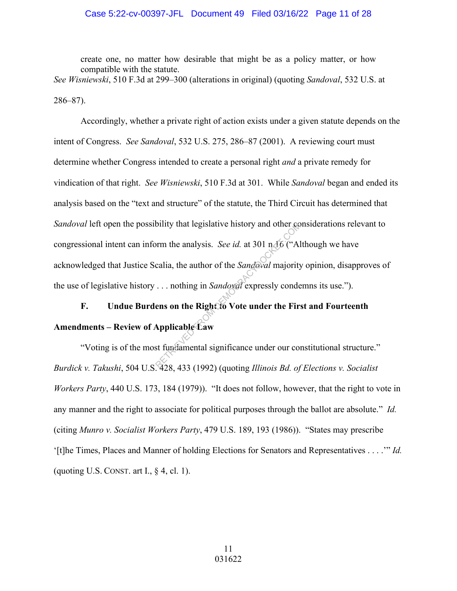# Case 5:22-cv-00397-JFL Document 49 Filed 03/16/22 Page 11 of 28

create one, no matter how desirable that might be as a policy matter, or how compatible with the statute.

*See Wisniewski*, 510 F.3d at 299–300 (alterations in original) (quoting *Sandoval*, 532 U.S. at 286–87).

Accordingly, whether a private right of action exists under a given statute depends on the intent of Congress. *See Sandoval*, 532 U.S. 275, 286–87 (2001). A reviewing court must determine whether Congress intended to create a personal right *and* a private remedy for vindication of that right. *See Wisniewski*, 510 F.3d at 301. While *Sandoval* began and ended its analysis based on the "text and structure" of the statute, the Third Circuit has determined that *Sandoval* left open the possibility that legislative history and other considerations relevant to congressional intent can inform the analysis. *See id.* at 301 n.16 ("Although we have acknowledged that Justice Scalia, the author of the *Sandoval* majority opinion, disapproves of the use of legislative history . . . nothing in *Sandoval* expressly condemns its use."). bility that legislative history and other commonly that legislative history and other commonly of the Sandoval majority ... nothing in Sandoval expressly conder the Right of Vote under the First Applicable Caw st fundamen

# **F. Undue Burdens on the Right to Vote under the First and Fourteenth Amendments – Review of Applicable Law**

"Voting is of the most fundamental significance under our constitutional structure." *Burdick v. Takushi*, 504 U.S. 428, 433 (1992) (quoting *Illinois Bd. of Elections v. Socialist Workers Party*, 440 U.S. 173, 184 (1979)). "It does not follow, however, that the right to vote in any manner and the right to associate for political purposes through the ballot are absolute." *Id.* (citing *Munro v. Socialist Workers Party*, 479 U.S. 189, 193 (1986)). "States may prescribe '[t]he Times, Places and Manner of holding Elections for Senators and Representatives . . . .'" *Id.* (quoting U.S. CONST. art I.,  $\S$  4, cl. 1).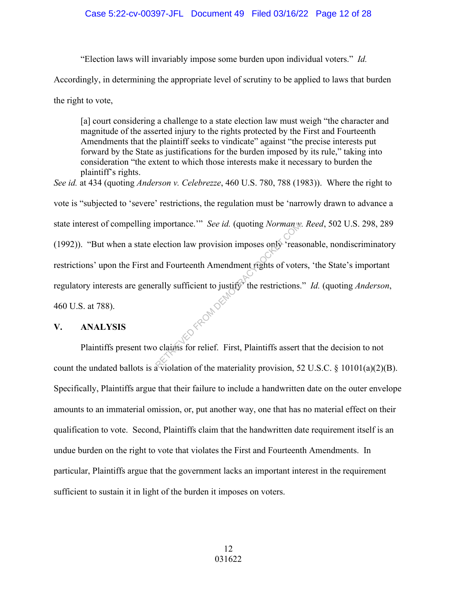"Election laws will invariably impose some burden upon individual voters." *Id.*

Accordingly, in determining the appropriate level of scrutiny to be applied to laws that burden

the right to vote,

[a] court considering a challenge to a state election law must weigh "the character and magnitude of the asserted injury to the rights protected by the First and Fourteenth Amendments that the plaintiff seeks to vindicate" against "the precise interests put forward by the State as justifications for the burden imposed by its rule," taking into consideration "the extent to which those interests make it necessary to burden the plaintiff's rights.

*See id.* at 434 (quoting *Anderson v. Celebrezze*, 460 U.S. 780, 788 (1983)). Where the right to vote is "subjected to 'severe' restrictions, the regulation must be 'narrowly drawn to advance a state interest of compelling importance.'" *See id.* (quoting *Norman v. Reed*, 502 U.S. 298, 289 (1992)). "But when a state election law provision imposes only 'reasonable, nondiscriminatory restrictions' upon the First and Fourteenth Amendment rights of voters, 'the State's important regulatory interests are generally sufficient to justify' the restrictions." *Id.* (quoting *Anderson*, 460 U.S. at 788). D FROM DEM

# **V. ANALYSIS**

Plaintiffs present two claims for relief. First, Plaintiffs assert that the decision to not count the undated ballots is a violation of the materiality provision, 52 U.S.C. § 10101(a)(2)(B). Specifically, Plaintiffs argue that their failure to include a handwritten date on the outer envelope amounts to an immaterial omission, or, put another way, one that has no material effect on their qualification to vote. Second, Plaintiffs claim that the handwritten date requirement itself is an undue burden on the right to vote that violates the First and Fourteenth Amendments. In particular, Plaintiffs argue that the government lacks an important interest in the requirement sufficient to sustain it in light of the burden it imposes on voters.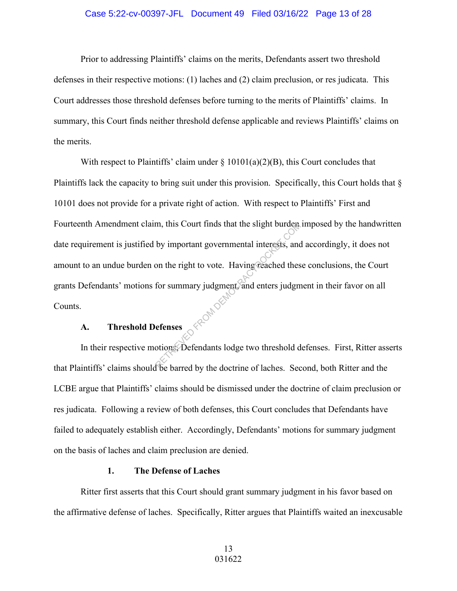# Case 5:22-cv-00397-JFL Document 49 Filed 03/16/22 Page 13 of 28

 Prior to addressing Plaintiffs' claims on the merits, Defendants assert two threshold defenses in their respective motions: (1) laches and (2) claim preclusion, or res judicata. This Court addresses those threshold defenses before turning to the merits of Plaintiffs' claims. In summary, this Court finds neither threshold defense applicable and reviews Plaintiffs' claims on the merits.

With respect to Plaintiffs' claim under  $\S 10101(a)(2)(B)$ , this Court concludes that Plaintiffs lack the capacity to bring suit under this provision. Specifically, this Court holds that § 10101 does not provide for a private right of action. With respect to Plaintiffs' First and Fourteenth Amendment claim, this Court finds that the slight burden imposed by the handwritten date requirement is justified by important governmental interests, and accordingly, it does not amount to an undue burden on the right to vote. Having reached these conclusions, the Court grants Defendants' motions for summary judgment, and enters judgment in their favor on all Counts. D FROM DEM

# **A. Threshold Defenses**

In their respective motions, Defendants lodge two threshold defenses. First, Ritter asserts that Plaintiffs' claims should be barred by the doctrine of laches. Second, both Ritter and the LCBE argue that Plaintiffs' claims should be dismissed under the doctrine of claim preclusion or res judicata. Following a review of both defenses, this Court concludes that Defendants have failed to adequately establish either. Accordingly, Defendants' motions for summary judgment on the basis of laches and claim preclusion are denied.

#### **1. The Defense of Laches**

Ritter first asserts that this Court should grant summary judgment in his favor based on the affirmative defense of laches. Specifically, Ritter argues that Plaintiffs waited an inexcusable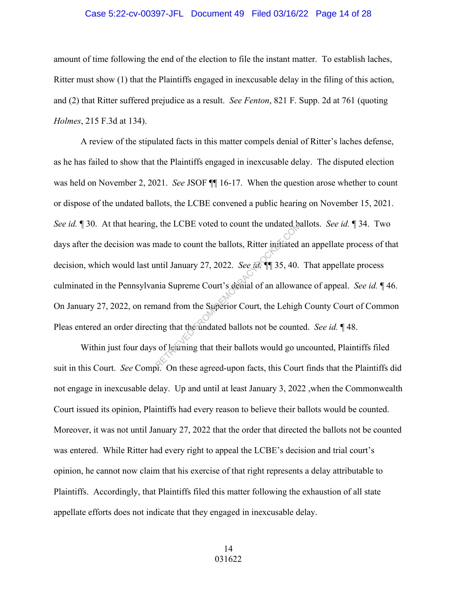#### Case 5:22-cv-00397-JFL Document 49 Filed 03/16/22 Page 14 of 28

amount of time following the end of the election to file the instant matter. To establish laches, Ritter must show (1) that the Plaintiffs engaged in inexcusable delay in the filing of this action, and (2) that Ritter suffered prejudice as a result. *See Fenton*, 821 F. Supp. 2d at 761 (quoting *Holmes*, 215 F.3d at 134).

A review of the stipulated facts in this matter compels denial of Ritter's laches defense, as he has failed to show that the Plaintiffs engaged in inexcusable delay. The disputed election was held on November 2, 2021. *See* JSOF ¶¶ 16-17. When the question arose whether to count or dispose of the undated ballots, the LCBE convened a public hearing on November 15, 2021. *See id.* ¶ 30. At that hearing, the LCBE voted to count the undated ballots. *See id.* ¶ 34. Two days after the decision was made to count the ballots, Ritter initiated an appellate process of that decision, which would last until January 27, 2022. *See id.* ¶¶ 35, 40. That appellate process culminated in the Pennsylvania Supreme Court's denial of an allowance of appeal. *See id.* ¶ 46. On January 27, 2022, on remand from the Superior Court, the Lehigh County Court of Common Pleas entered an order directing that the undated ballots not be counted. *See id.* ¶ 48. FROM the LCBE voted to count the undated by<br>
made to count the ballots, Ritter initiated<br>
mtil January 27, 2022. See id.  $\P$  35, 40.<br>
mia Supreme Court's demal of an allowar<br>
and from the Superior Court, the Lehigh<br>
ing t

 Within just four days of learning that their ballots would go uncounted, Plaintiffs filed suit in this Court. *See* Compl. On these agreed-upon facts, this Court finds that the Plaintiffs did not engage in inexcusable delay. Up and until at least January 3, 2022 ,when the Commonwealth Court issued its opinion, Plaintiffs had every reason to believe their ballots would be counted. Moreover, it was not until January 27, 2022 that the order that directed the ballots not be counted was entered. While Ritter had every right to appeal the LCBE's decision and trial court's opinion, he cannot now claim that his exercise of that right represents a delay attributable to Plaintiffs. Accordingly, that Plaintiffs filed this matter following the exhaustion of all state appellate efforts does not indicate that they engaged in inexcusable delay.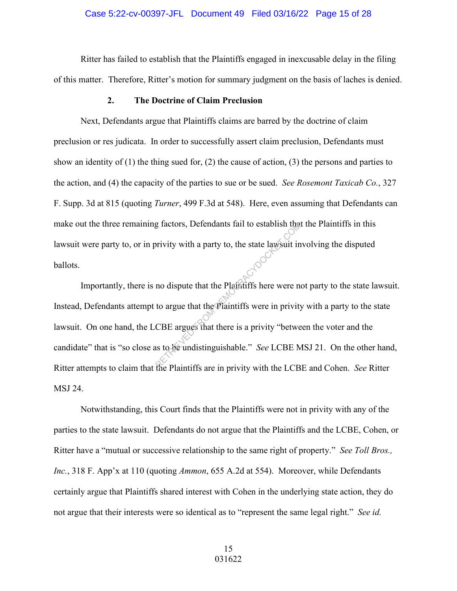Ritter has failed to establish that the Plaintiffs engaged in inexcusable delay in the filing of this matter. Therefore, Ritter's motion for summary judgment on the basis of laches is denied.

# **2. The Doctrine of Claim Preclusion**

Next, Defendants argue that Plaintiffs claims are barred by the doctrine of claim preclusion or res judicata. In order to successfully assert claim preclusion, Defendants must show an identity of (1) the thing sued for, (2) the cause of action, (3) the persons and parties to the action, and (4) the capacity of the parties to sue or be sued. *See Rosemont Taxicab Co.*, 327 F. Supp. 3d at 815 (quoting *Turner*, 499 F.3d at 548). Here, even assuming that Defendants can make out the three remaining factors, Defendants fail to establish that the Plaintiffs in this lawsuit were party to, or in privity with a party to, the state lawsuit involving the disputed ballots.

Importantly, there is no dispute that the Plaintiffs here were not party to the state lawsuit. Instead, Defendants attempt to argue that the Plaintiffs were in privity with a party to the state lawsuit. On one hand, the LCBE argues that there is a privity "between the voter and the candidate" that is "so close as to be undistinguishable." *See* LCBE MSJ 21. On the other hand, Ritter attempts to claim that the Plaintiffs are in privity with the LCBE and Cohen. *See* Ritter MSJ 24. g factors, Defendants fail to establish that<br>privity with a party to, the state lawsuit in<br>no dispute that the Plaintiffs here were no<br>to argue that the Plaintiffs were in privity.<br>CBE argues that there is a privity "betwe

Notwithstanding, this Court finds that the Plaintiffs were not in privity with any of the parties to the state lawsuit. Defendants do not argue that the Plaintiffs and the LCBE, Cohen, or Ritter have a "mutual or successive relationship to the same right of property." *See Toll Bros., Inc.*, 318 F. App'x at 110 (quoting *Ammon*, 655 A.2d at 554). Moreover, while Defendants certainly argue that Plaintiffs shared interest with Cohen in the underlying state action, they do not argue that their interests were so identical as to "represent the same legal right." *See id.*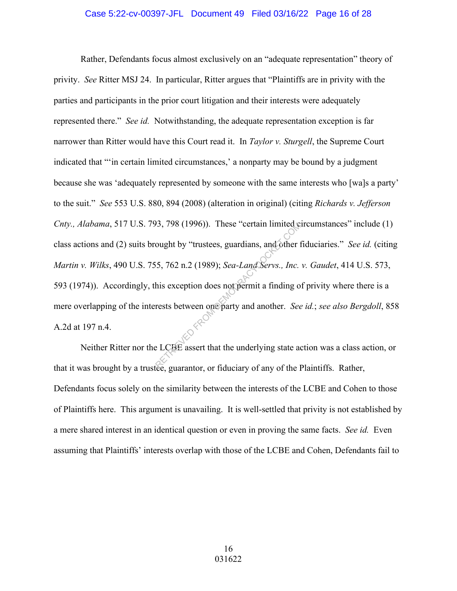## Case 5:22-cv-00397-JFL Document 49 Filed 03/16/22 Page 16 of 28

Rather, Defendants focus almost exclusively on an "adequate representation" theory of privity. *See* Ritter MSJ 24. In particular, Ritter argues that "Plaintiffs are in privity with the parties and participants in the prior court litigation and their interests were adequately represented there." *See id.* Notwithstanding, the adequate representation exception is far narrower than Ritter would have this Court read it. In *Taylor v. Sturgell*, the Supreme Court indicated that "'in certain limited circumstances,' a nonparty may be bound by a judgment because she was 'adequately represented by someone with the same interests who [wa]s a party' to the suit." *See* 553 U.S. 880, 894 (2008) (alteration in original) (citing *Richards v. Jefferson Cnty., Alabama*, 517 U.S. 793, 798 (1996)). These "certain limited circumstances" include (1) class actions and (2) suits brought by "trustees, guardians, and other fiduciaries." *See id.* (citing *Martin v. Wilks*, 490 U.S. 755, 762 n.2 (1989); *Sea-Land Servs., Inc. v. Gaudet*, 414 U.S. 573, 593 (1974)). Accordingly, this exception does not permit a finding of privity where there is a mere overlapping of the interests between one party and another. *See id.*; *see also Bergdoll*, 858 A.2d at 197 n.4. 93, 798 (1996)). These "certain limited cought by "trustees, guardians, and other 1<br>ought by "trustees, guardians, and other 1<br>f5, 762 n.2 (1989); *Sea-Land Servs., Inc.*<br>his exception does not permit a finding of<br>rests b

Neither Ritter nor the LCBE assert that the underlying state action was a class action, or that it was brought by a trustee, guarantor, or fiduciary of any of the Plaintiffs. Rather, Defendants focus solely on the similarity between the interests of the LCBE and Cohen to those of Plaintiffs here. This argument is unavailing. It is well-settled that privity is not established by a mere shared interest in an identical question or even in proving the same facts. *See id.* Even assuming that Plaintiffs' interests overlap with those of the LCBE and Cohen, Defendants fail to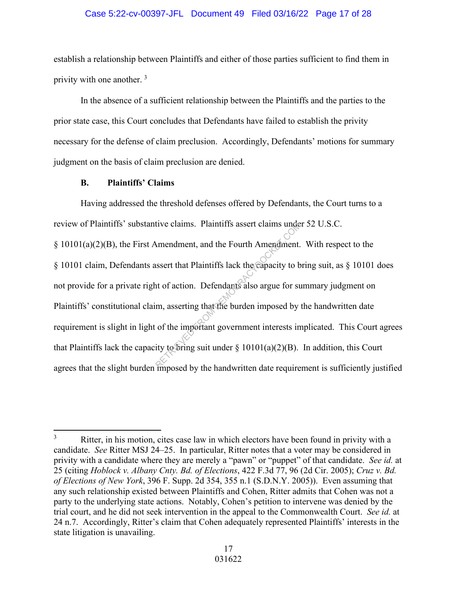## Case 5:22-cv-00397-JFL Document 49 Filed 03/16/22 Page 17 of 28

establish a relationship between Plaintiffs and either of those parties sufficient to find them in privity with one another. <sup>3</sup>

In the absence of a sufficient relationship between the Plaintiffs and the parties to the prior state case, this Court concludes that Defendants have failed to establish the privity necessary for the defense of claim preclusion. Accordingly, Defendants' motions for summary judgment on the basis of claim preclusion are denied.

# **B. Plaintiffs' Claims**

Having addressed the threshold defenses offered by Defendants, the Court turns to a review of Plaintiffs' substantive claims. Plaintiffs assert claims under 52 U.S.C. § 10101(a)(2)(B), the First Amendment, and the Fourth Amendment. With respect to the § 10101 claim, Defendants assert that Plaintiffs lack the capacity to bring suit, as § 10101 does not provide for a private right of action. Defendants also argue for summary judgment on Plaintiffs' constitutional claim, asserting that the burden imposed by the handwritten date requirement is slight in light of the important government interests implicated. This Court agrees that Plaintiffs lack the capacity to bring suit under  $\S 10101(a)(2)(B)$ . In addition, this Court agrees that the slight burden imposed by the handwritten date requirement is sufficiently justified tive claims. Plaintiffs assert claims under<br>
Amendment, and the Fourth Amendment.<br>
ussert that Plaintiffs lack the capacity to b<br>
int of action. Defendants also argue for sum,<br>
inty to serting that the burden imposed by<br>

<sup>3</sup> Ritter, in his motion, cites case law in which electors have been found in privity with a candidate. *See* Ritter MSJ 24–25. In particular, Ritter notes that a voter may be considered in privity with a candidate where they are merely a "pawn" or "puppet" of that candidate. *See id.* at 25 (citing *Hoblock v. Albany Cnty. Bd. of Elections*, 422 F.3d 77, 96 (2d Cir. 2005); *Cruz v. Bd. of Elections of New York*, 396 F. Supp. 2d 354, 355 n.1 (S.D.N.Y. 2005)). Even assuming that any such relationship existed between Plaintiffs and Cohen, Ritter admits that Cohen was not a party to the underlying state actions. Notably, Cohen's petition to intervene was denied by the trial court, and he did not seek intervention in the appeal to the Commonwealth Court. *See id.* at 24 n.7. Accordingly, Ritter's claim that Cohen adequately represented Plaintiffs' interests in the state litigation is unavailing.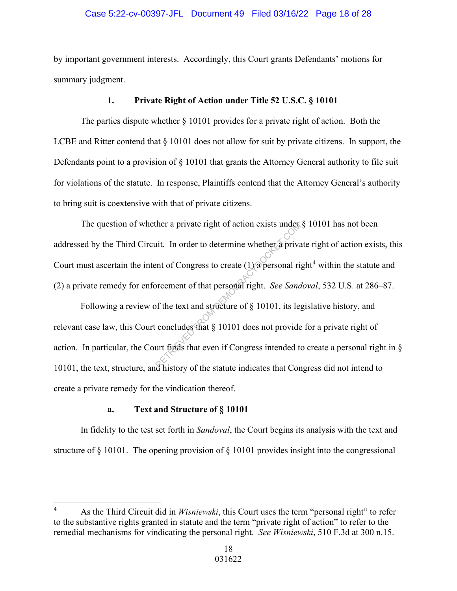# Case 5:22-cv-00397-JFL Document 49 Filed 03/16/22 Page 18 of 28

by important government interests. Accordingly, this Court grants Defendants' motions for summary judgment.

# **1. Private Right of Action under Title 52 U.S.C. § 10101**

The parties dispute whether § 10101 provides for a private right of action. Both the LCBE and Ritter contend that § 10101 does not allow for suit by private citizens. In support, the Defendants point to a provision of § 10101 that grants the Attorney General authority to file suit for violations of the statute. In response, Plaintiffs contend that the Attorney General's authority to bring suit is coextensive with that of private citizens.

The question of whether a private right of action exists under  $\S$  10101 has not been addressed by the Third Circuit. In order to determine whether a private right of action exists, this Court must ascertain the intent of Congress to create  $(1)$  a personal right<sup>4</sup> within the statute and (2) a private remedy for enforcement of that personal right. *See Sandoval*, 532 U.S. at 286–87. ther a private right of action exists under<br>it. In order to determine whether a priva<br>ent of Congress to create (1) a personal ri<br>orcement of that personal right. See Sana<br>of the text and structure of § 10101, its leg<br>conc

Following a review of the text and structure of § 10101, its legislative history, and relevant case law, this Court concludes that § 10101 does not provide for a private right of action. In particular, the Court finds that even if Congress intended to create a personal right in § 10101, the text, structure, and history of the statute indicates that Congress did not intend to create a private remedy for the vindication thereof.

# **a. Text and Structure of § 10101**

In fidelity to the test set forth in *Sandoval*, the Court begins its analysis with the text and structure of § 10101. The opening provision of § 10101 provides insight into the congressional

<sup>4</sup> As the Third Circuit did in *Wisniewski*, this Court uses the term "personal right" to refer to the substantive rights granted in statute and the term "private right of action" to refer to the remedial mechanisms for vindicating the personal right. *See Wisniewski*, 510 F.3d at 300 n.15.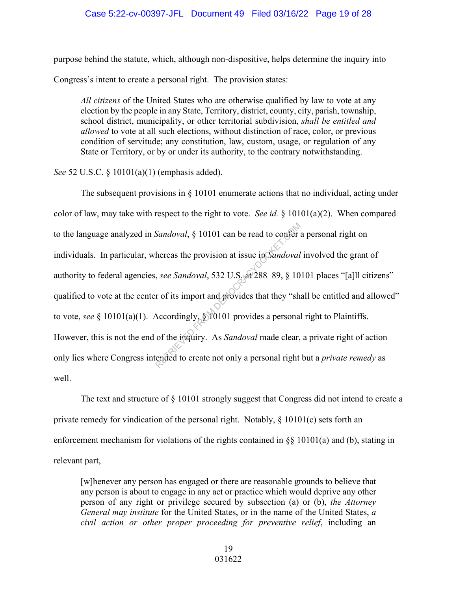# Case 5:22-cv-00397-JFL Document 49 Filed 03/16/22 Page 19 of 28

purpose behind the statute, which, although non-dispositive, helps determine the inquiry into Congress's intent to create a personal right. The provision states:

*All citizens* of the United States who are otherwise qualified by law to vote at any election by the people in any State, Territory, district, county, city, parish, township, school district, municipality, or other territorial subdivision, *shall be entitled and allowed* to vote at all such elections, without distinction of race, color, or previous condition of servitude; any constitution, law, custom, usage, or regulation of any State or Territory, or by or under its authority, to the contrary notwithstanding.

*See* 52 U.S.C. § 10101(a)(1) (emphasis added).

The subsequent provisions in  $\S$  10101 enumerate actions that no individual, acting under color of law, may take with respect to the right to vote. *See id.* § 10101(a)(2). When compared to the language analyzed in *Sandoval*, § 10101 can be read to confer a personal right on individuals. In particular, whereas the provision at issue in *Sandoval* involved the grant of authority to federal agencies, *see Sandoval*, 532 U.S. at 288–89, § 10101 places "[a]ll citizens" qualified to vote at the center of its import and provides that they "shall be entitled and allowed" to vote, *see* § 10101(a)(1). Accordingly, § 10101 provides a personal right to Plaintiffs. However, this is not the end of the inquiry. As *Sandoval* made clear, a private right of action only lies where Congress intended to create not only a personal right but a *private remedy* as well. Sandoval, § 10101 can be read to confer a<br>hereas the provision at issue in Sandoval<br>, see Sandoval, 532 U.S. at 288–89, § 10<br>r of its import and provides that they "sh<br>Accordingly, § 10101 provides a personal<br>of the inqui

The text and structure of  $\S$  10101 strongly suggest that Congress did not intend to create a private remedy for vindication of the personal right. Notably,  $\S$  10101(c) sets forth an enforcement mechanism for violations of the rights contained in §§ 10101(a) and (b), stating in relevant part,

[w]henever any person has engaged or there are reasonable grounds to believe that any person is about to engage in any act or practice which would deprive any other person of any right or privilege secured by subsection (a) or (b), *the Attorney General may institute* for the United States, or in the name of the United States, *a civil action or other proper proceeding for preventive relief*, including an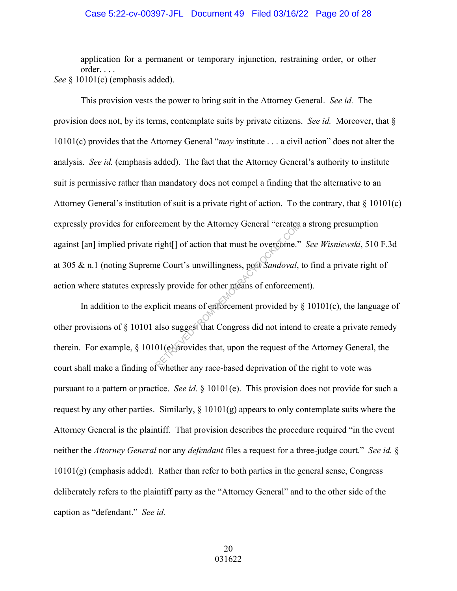#### Case 5:22-cv-00397-JFL Document 49 Filed 03/16/22 Page 20 of 28

application for a permanent or temporary injunction, restraining order, or other order. . . . *See* § 10101(c) (emphasis added).

 This provision vests the power to bring suit in the Attorney General. *See id.* The provision does not, by its terms, contemplate suits by private citizens. *See id.* Moreover, that § 10101(c) provides that the Attorney General "*may* institute . . . a civil action" does not alter the analysis. *See id.* (emphasis added). The fact that the Attorney General's authority to institute suit is permissive rather than mandatory does not compel a finding that the alternative to an Attorney General's institution of suit is a private right of action. To the contrary, that  $\S$  10101(c) expressly provides for enforcement by the Attorney General "creates a strong presumption against [an] implied private right[] of action that must be overcome." *See Wisniewski*, 510 F.3d at 305 & n.1 (noting Supreme Court's unwillingness, post *Sandoval*, to find a private right of action where statutes expressly provide for other means of enforcement). cement by the Attorney General "createst"<br>
right[] of action that must be overcome."<br>
le Court's unwillingness, post Sandoval,<br>
sly provide for other means of enforceme<br>
olicit means of enforcement provided by<br>
also sugges

In addition to the explicit means of enforcement provided by  $\S$  10101(c), the language of other provisions of § 10101 also suggest that Congress did not intend to create a private remedy therein. For example, § 10101(e) provides that, upon the request of the Attorney General, the court shall make a finding of whether any race-based deprivation of the right to vote was pursuant to a pattern or practice. *See id.* § 10101(e). This provision does not provide for such a request by any other parties. Similarly,  $\S 10101(g)$  appears to only contemplate suits where the Attorney General is the plaintiff. That provision describes the procedure required "in the event neither the *Attorney General* nor any *defendant* files a request for a three-judge court." *See id.* §  $10101(g)$  (emphasis added). Rather than refer to both parties in the general sense, Congress deliberately refers to the plaintiff party as the "Attorney General" and to the other side of the caption as "defendant." *See id.*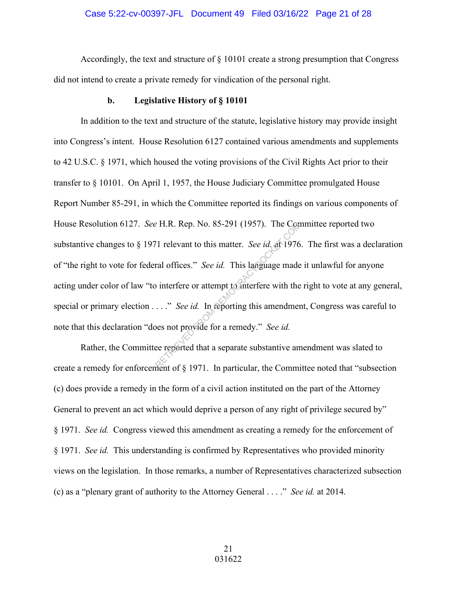## Case 5:22-cv-00397-JFL Document 49 Filed 03/16/22 Page 21 of 28

 Accordingly, the text and structure of § 10101 create a strong presumption that Congress did not intend to create a private remedy for vindication of the personal right.

#### **b. Legislative History of § 10101**

In addition to the text and structure of the statute, legislative history may provide insight into Congress's intent. House Resolution 6127 contained various amendments and supplements to 42 U.S.C. § 1971, which housed the voting provisions of the Civil Rights Act prior to their transfer to § 10101. On April 1, 1957, the House Judiciary Committee promulgated House Report Number 85-291, in which the Committee reported its findings on various components of House Resolution 6127. *See* H.R. Rep. No. 85-291 (1957). The Committee reported two substantive changes to § 1971 relevant to this matter. *See id.* at 1976. The first was a declaration of "the right to vote for federal offices." *See id.* This language made it unlawful for anyone acting under color of law "to interfere or attempt to interfere with the right to vote at any general, special or primary election . . . ." *See id.* In reporting this amendment, Congress was careful to note that this declaration "does not provide for a remedy." *See id.* P. H.R. Rep. No. 85-291 (1957). The Conservation of the Matter. See id. at 1976<br>
The discussion of the matter. See id. at 1976<br>
interfere or attempt to interfere with the<br>
..." See id. In reporting this amendment<br>
beson t

Rather, the Committee reported that a separate substantive amendment was slated to create a remedy for enforcement of  $\S$  1971. In particular, the Committee noted that "subsection" (c) does provide a remedy in the form of a civil action instituted on the part of the Attorney General to prevent an act which would deprive a person of any right of privilege secured by" § 1971. *See id.* Congress viewed this amendment as creating a remedy for the enforcement of § 1971. *See id.* This understanding is confirmed by Representatives who provided minority views on the legislation. In those remarks, a number of Representatives characterized subsection (c) as a "plenary grant of authority to the Attorney General . . . ." *See id.* at 2014.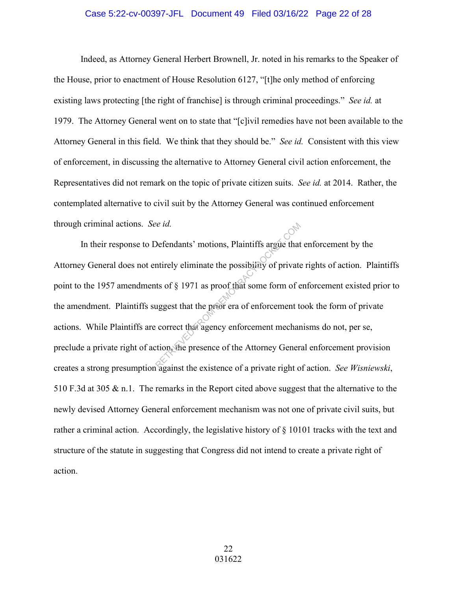## Case 5:22-cv-00397-JFL Document 49 Filed 03/16/22 Page 22 of 28

Indeed, as Attorney General Herbert Brownell, Jr. noted in his remarks to the Speaker of the House, prior to enactment of House Resolution 6127, "[t]he only method of enforcing existing laws protecting [the right of franchise] is through criminal proceedings." *See id.* at 1979. The Attorney General went on to state that "[c]ivil remedies have not been available to the Attorney General in this field. We think that they should be." *See id.* Consistent with this view of enforcement, in discussing the alternative to Attorney General civil action enforcement, the Representatives did not remark on the topic of private citizen suits. *See id.* at 2014. Rather, the contemplated alternative to civil suit by the Attorney General was continued enforcement through criminal actions. *See id.* 

In their response to Defendants' motions, Plaintiffs argue that enforcement by the Attorney General does not entirely eliminate the possibility of private rights of action. Plaintiffs point to the 1957 amendments of § 1971 as proof that some form of enforcement existed prior to the amendment. Plaintiffs suggest that the prior era of enforcement took the form of private actions. While Plaintiffs are correct that agency enforcement mechanisms do not, per se, preclude a private right of action, the presence of the Attorney General enforcement provision creates a strong presumption against the existence of a private right of action. *See Wisniewski*, 510 F.3d at 305 & n.1. The remarks in the Report cited above suggest that the alternative to the newly devised Attorney General enforcement mechanism was not one of private civil suits, but rather a criminal action. Accordingly, the legislative history of § 10101 tracks with the text and structure of the statute in suggesting that Congress did not intend to create a private right of action. See 1d.<br>
Defendants' motions, Plaintiffs argue that<br>
Intirely eliminate the possibility of private<br>
ts of § 1971 as proof that some form of e<br>
uggest that the prior era of enforcement to<br>
correct that agency enforcement me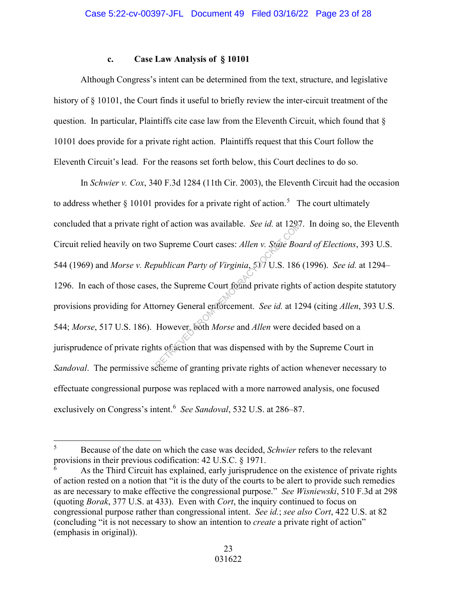# **c. Case Law Analysis of § 10101**

Although Congress's intent can be determined from the text, structure, and legislative history of § 10101, the Court finds it useful to briefly review the inter-circuit treatment of the question. In particular, Plaintiffs cite case law from the Eleventh Circuit, which found that § 10101 does provide for a private right action. Plaintiffs request that this Court follow the Eleventh Circuit's lead. For the reasons set forth below, this Court declines to do so.

In *Schwier v. Cox*, 340 F.3d 1284 (11th Cir. 2003), the Eleventh Circuit had the occasion to address whether  $\S$  10101 provides for a private right of action.<sup>5</sup> The court ultimately concluded that a private right of action was available. *See id.* at 1297. In doing so, the Eleventh Circuit relied heavily on two Supreme Court cases: *Allen v. State Board of Elections*, 393 U.S. 544 (1969) and *Morse v. Republican Party of Virginia*, 517 U.S. 186 (1996). *See id.* at 1294– 1296. In each of those cases, the Supreme Court found private rights of action despite statutory provisions providing for Attorney General enforcement. *See id.* at 1294 (citing *Allen*, 393 U.S. 544; *Morse*, 517 U.S. 186). However, both *Morse* and *Allen* were decided based on a jurisprudence of private rights of action that was dispensed with by the Supreme Court in *Sandoval*. The permissive scheme of granting private rights of action whenever necessary to effectuate congressional purpose was replaced with a more narrowed analysis, one focused exclusively on Congress's intent.<sup>6</sup> See Sandoval, 532 U.S. at 286–87. It of action was available. See id. at 129%<br>
Supreme Court cases: Allen v. State Boot<br>
bublican Party of Virginia, 507 U.S. 186<br>
i, the Supreme Court found private rights<br>
orney General enforcement. See id. at 12<br>
However,

<sup>5</sup> Because of the date on which the case was decided, *Schwier* refers to the relevant provisions in their previous codification: 42 U.S.C. § 1971.

<sup>6</sup> As the Third Circuit has explained, early jurisprudence on the existence of private rights of action rested on a notion that "it is the duty of the courts to be alert to provide such remedies as are necessary to make effective the congressional purpose." *See Wisniewski*, 510 F.3d at 298 (quoting *Borak*, 377 U.S. at 433). Even with *Cort*, the inquiry continued to focus on congressional purpose rather than congressional intent. *See id.*; *see also Cort*, 422 U.S. at 82 (concluding "it is not necessary to show an intention to *create* a private right of action" (emphasis in original)).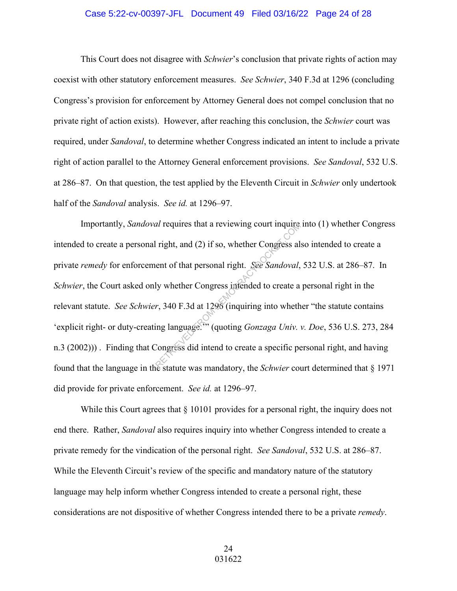#### Case 5:22-cv-00397-JFL Document 49 Filed 03/16/22 Page 24 of 28

 This Court does not disagree with *Schwier*'s conclusion that private rights of action may coexist with other statutory enforcement measures. *See Schwier*, 340 F.3d at 1296 (concluding Congress's provision for enforcement by Attorney General does not compel conclusion that no private right of action exists). However, after reaching this conclusion, the *Schwier* court was required, under *Sandoval*, to determine whether Congress indicated an intent to include a private right of action parallel to the Attorney General enforcement provisions. *See Sandoval*, 532 U.S. at 286–87. On that question, the test applied by the Eleventh Circuit in *Schwier* only undertook half of the *Sandoval* analysis. *See id.* at 1296–97.

Importantly, *Sandoval* requires that a reviewing court inquire into (1) whether Congress intended to create a personal right, and (2) if so, whether Congress also intended to create a private *remedy* for enforcement of that personal right. *See Sandoval*, 532 U.S. at 286–87. In *Schwier*, the Court asked only whether Congress intended to create a personal right in the relevant statute. *See Schwier*, 340 F.3d at 1296 (inquiring into whether "the statute contains 'explicit right- or duty-creating language.'" (quoting *Gonzaga Univ. v. Doe*, 536 U.S. 273, 284 n.3 (2002))) . Finding that Congress did intend to create a specific personal right, and having found that the language in the statute was mandatory, the *Schwier* court determined that § 1971 did provide for private enforcement. *See id.* at 1296–97. al requires that a reviewing court inquires<br>
right, and (2) if so, whether Congress all<br>
ent of that personal right. See Sandoval,<br>
ly whether Congress infended to create a<br>
r, 340 F.3d at 1296 (inquiring into wheth<br>
ing l

While this Court agrees that  $\S 10101$  provides for a personal right, the inquiry does not end there. Rather, *Sandoval* also requires inquiry into whether Congress intended to create a private remedy for the vindication of the personal right. *See Sandoval*, 532 U.S. at 286–87. While the Eleventh Circuit's review of the specific and mandatory nature of the statutory language may help inform whether Congress intended to create a personal right, these considerations are not dispositive of whether Congress intended there to be a private *remedy*.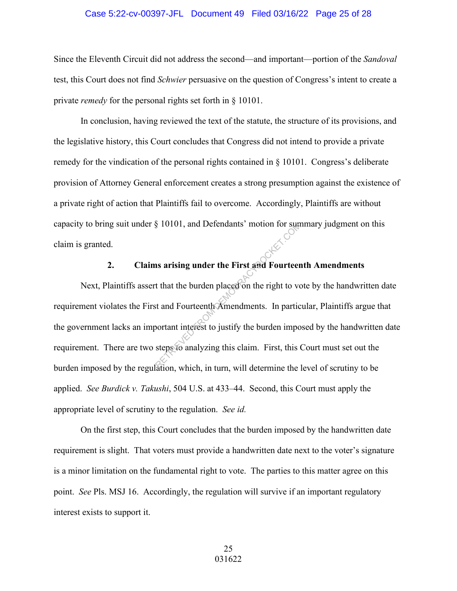#### Case 5:22-cv-00397-JFL Document 49 Filed 03/16/22 Page 25 of 28

Since the Eleventh Circuit did not address the second—and important—portion of the *Sandoval* test, this Court does not find *Schwier* persuasive on the question of Congress's intent to create a private *remedy* for the personal rights set forth in § 10101.

In conclusion, having reviewed the text of the statute, the structure of its provisions, and the legislative history, this Court concludes that Congress did not intend to provide a private remedy for the vindication of the personal rights contained in § 10101. Congress's deliberate provision of Attorney General enforcement creates a strong presumption against the existence of a private right of action that Plaintiffs fail to overcome. Accordingly, Plaintiffs are without capacity to bring suit under § 10101, and Defendants' motion for summary judgment on this claim is granted.

# **2. Claims arising under the First and Fourteenth Amendments**

Next, Plaintiffs assert that the burden placed on the right to vote by the handwritten date requirement violates the First and Fourteenth Amendments. In particular, Plaintiffs argue that the government lacks an important interest to justify the burden imposed by the handwritten date requirement. There are two steps to analyzing this claim. First, this Court must set out the burden imposed by the regulation, which, in turn, will determine the level of scrutiny to be applied. *See Burdick v. Takushi*, 504 U.S. at 433–44. Second, this Court must apply the appropriate level of scrutiny to the regulation. *See id.*  RETRIEVED FROM DETENDANT STATES IN A DETENDANT STATE OF STATES AND FOUND THAT AND THE STATES OF THE CONTRACT OF STATES OF THE CONTRACT OF THE STATES OF THE CONTRACT OF THE CONTRACT OF THE CONTRACT OF THE CONTRACT OF THE CO

On the first step, this Court concludes that the burden imposed by the handwritten date requirement is slight. That voters must provide a handwritten date next to the voter's signature is a minor limitation on the fundamental right to vote. The parties to this matter agree on this point. *See* Pls. MSJ 16. Accordingly, the regulation will survive if an important regulatory interest exists to support it.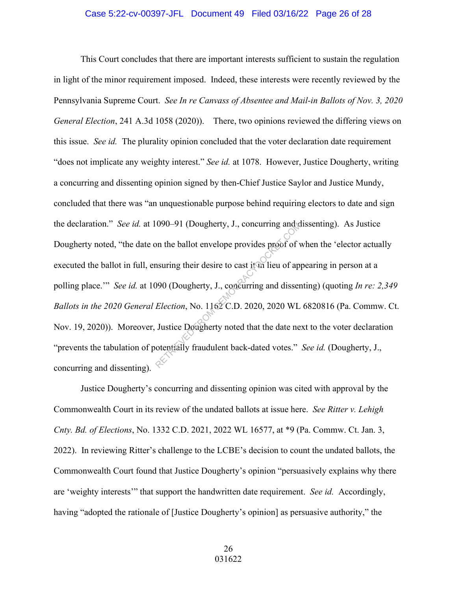## Case 5:22-cv-00397-JFL Document 49 Filed 03/16/22 Page 26 of 28

This Court concludes that there are important interests sufficient to sustain the regulation in light of the minor requirement imposed. Indeed, these interests were recently reviewed by the Pennsylvania Supreme Court. *See In re Canvass of Absentee and Mail-in Ballots of Nov. 3, 2020 General Election*, 241 A.3d 1058 (2020)). There, two opinions reviewed the differing views on this issue. *See id.* The plurality opinion concluded that the voter declaration date requirement "does not implicate any weighty interest." *See id.* at 1078. However, Justice Dougherty, writing a concurring and dissenting opinion signed by then-Chief Justice Saylor and Justice Mundy, concluded that there was "an unquestionable purpose behind requiring electors to date and sign the declaration." *See id.* at 1090–91 (Dougherty, J., concurring and dissenting). As Justice Dougherty noted, "the date on the ballot envelope provides proof of when the 'elector actually executed the ballot in full, ensuring their desire to cast it in lieu of appearing in person at a polling place.'" *See id.* at 1090 (Dougherty, J., concurring and dissenting) (quoting *In re: 2,349 Ballots in the 2020 General Election*, No. 1162 C.D. 2020, 2020 WL 6820816 (Pa. Commw. Ct. Nov. 19, 2020)). Moreover, Justice Dougherty noted that the date next to the voter declaration "prevents the tabulation of potentially fraudulent back-dated votes." *See id.* (Dougherty, J., concurring and dissenting).  $1090-91$  (Dougherty, J., concurring and of the ballot envelope provides proof of v<br>nsuring their desire to cast it in lieu of ap<br> $990$  (Dougherty, J., concurring and disser<br>*Election*, No.  $1162$  C.D. 2020, 2020 WL<br>Justi

Justice Dougherty's concurring and dissenting opinion was cited with approval by the Commonwealth Court in its review of the undated ballots at issue here. *See Ritter v. Lehigh Cnty. Bd. of Elections*, No. 1332 C.D. 2021, 2022 WL 16577, at \*9 (Pa. Commw. Ct. Jan. 3, 2022). In reviewing Ritter's challenge to the LCBE's decision to count the undated ballots, the Commonwealth Court found that Justice Dougherty's opinion "persuasively explains why there are 'weighty interests'" that support the handwritten date requirement. *See id.* Accordingly, having "adopted the rationale of [Justice Dougherty's opinion] as persuasive authority," the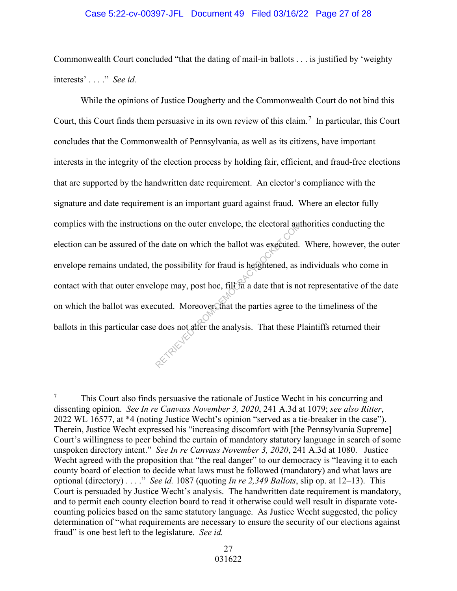## Case 5:22-cv-00397-JFL Document 49 Filed 03/16/22 Page 27 of 28

Commonwealth Court concluded "that the dating of mail-in ballots . . . is justified by 'weighty interests' . . . ." *See id.*

While the opinions of Justice Dougherty and the Commonwealth Court do not bind this Court, this Court finds them persuasive in its own review of this claim.<sup>7</sup> In particular, this Court concludes that the Commonwealth of Pennsylvania, as well as its citizens, have important interests in the integrity of the election process by holding fair, efficient, and fraud-free elections that are supported by the handwritten date requirement. An elector's compliance with the signature and date requirement is an important guard against fraud. Where an elector fully complies with the instructions on the outer envelope, the electoral authorities conducting the election can be assured of the date on which the ballot was executed. Where, however, the outer envelope remains undated, the possibility for fraud is heightened, as individuals who come in contact with that outer envelope may, post hoc, fill in a date that is not representative of the date on which the ballot was executed. Moreover, that the parties agree to the timeliness of the ballots in this particular case does not alter the analysis. That these Plaintiffs returned their In the outer envelope, the electoral autor<br>
e date on which the ballot was executed.<br>
the possibility for fraud is heightened, as if<br>
ope may, post hoc, fill in a date that is no<br>
cuted. Moreover, that the parties agree to

<sup>7</sup> This Court also finds persuasive the rationale of Justice Wecht in his concurring and dissenting opinion. *See In re Canvass November 3, 2020*, 241 A.3d at 1079; *see also Ritter*, 2022 WL 16577, at \*4 (noting Justice Wecht's opinion "served as a tie-breaker in the case"). Therein, Justice Wecht expressed his "increasing discomfort with [the Pennsylvania Supreme] Court's willingness to peer behind the curtain of mandatory statutory language in search of some unspoken directory intent." *See In re Canvass November 3, 2020*, 241 A.3d at 1080. Justice We cht agreed with the proposition that "the real danger" to our democracy is "leaving it to each county board of election to decide what laws must be followed (mandatory) and what laws are optional (directory) . . . ." *See id.* 1087 (quoting *In re 2,349 Ballots*, slip op. at 12–13). This Court is persuaded by Justice Wecht's analysis. The handwritten date requirement is mandatory, and to permit each county election board to read it otherwise could well result in disparate votecounting policies based on the same statutory language. As Justice Wecht suggested, the policy determination of "what requirements are necessary to ensure the security of our elections against fraud" is one best left to the legislature. *See id.*